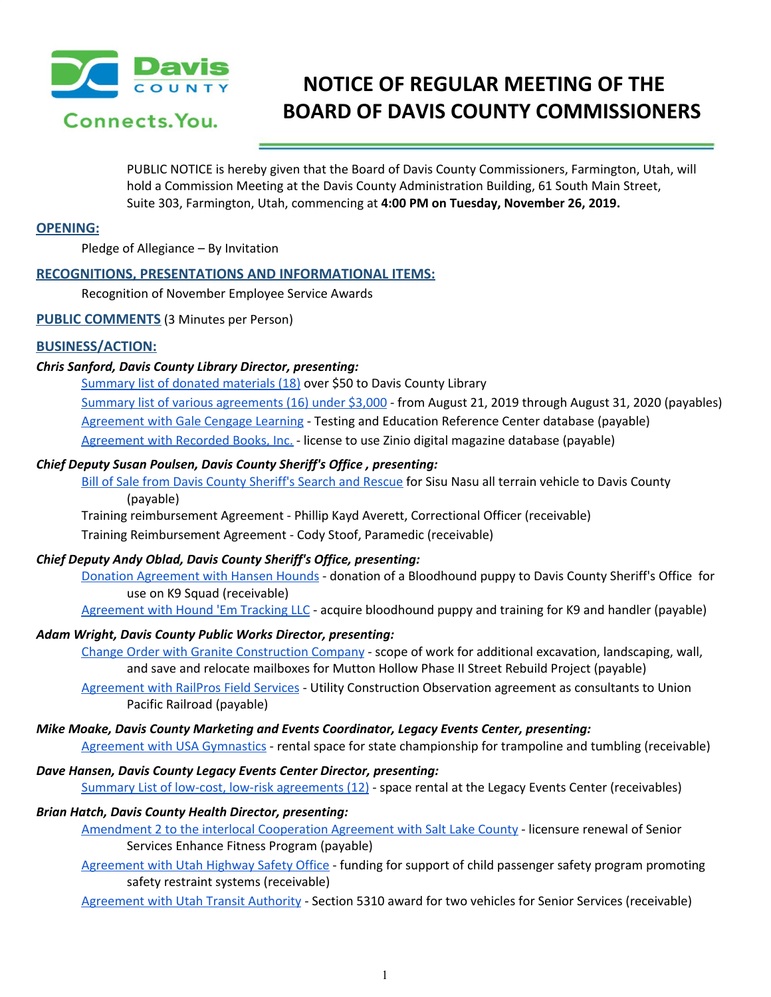

# **NOTICE OF REGULAR MEETING OF THE BOARD OF DAVIS COUNTY COMMISSIONERS**

PUBLIC NOTICE is hereby given that the Board of Davis County Commissioners, Farmington, Utah, will hold a Commission Meeting at the Davis County Administration Building, 61 South Main Street, Suite 303, Farmington, Utah, commencing at **4:00 PM on Tuesday, November 26, 2019.**

#### **OPENING:**

Pledge of Allegiance – By Invitation

## **RECOGNITIONS, PRESENTATIONS AND INFORMATIONAL ITEMS:**

Recognition of November Employee Service Awards

**PUBLIC COMMENTS** (3 Minutes per Person)

# **BUSINESS/ACTION:**

## *Chris Sanford, Davis County Library Director, presenting:*

[Summary](https://drive.google.com/a/co.davis.ut.us/file/d/1DNBJC0i59eS_s1R4eSw_3DpkdrkvPXvg/view?usp=drivesdk) list of donated materials (18) over \$50 to Davis County Library Summary list of various [agreements](https://drive.google.com/a/co.davis.ut.us/file/d/1RWRW71bx3fG6PWmqpVzeK18OJzsbvo_o/view?usp=drivesdk) (16) under \$3,000 - from August 21, 2019 through August 31, 2020 (payables) [Agreement](https://drive.google.com/a/co.davis.ut.us/file/d/1O3DS37lCyspmrTO_awZlLuPCzQQ3t9qe/view?usp=drivesdk) with Gale Cengage Learning - Testing and Education Reference Center database (payable) [Agreement](https://drive.google.com/a/co.davis.ut.us/file/d/19ir-3cMzK78RIDQM3NR2tReQLSk8ejcU/view?usp=drivesdk) with Recorded Books, Inc. - license to use Zinio digital magazine database (payable)

#### *Chief Deputy Susan Poulsen, Davis County Sheriff's Office , presenting:*

Bill of Sale from Davis County [Sheriff's](https://drive.google.com/a/co.davis.ut.us/file/d/11SWMplVHGwBoZxTDxh1C2f4Qpp7Bqesk/view?usp=drivesdk) Search and Rescue for Sisu Nasu all terrain vehicle to Davis County (payable)

Training [reimbursement](https://drive.google.com/a/co.davis.ut.us/file/d/1fsnMl_HXqdydB4txX9YK6ZOTg1YgJmV7/view?usp=drivesdk) Agreement - Phillip Kayd Averett, Correctional Officer (receivable) Training [Reimbursement](https://drive.google.com/a/co.davis.ut.us/file/d/1c7pOpcehFSFwAKANox-7CZ7KNF52s7LY/view?usp=drivesdk) Agreement - Cody Stoof, Paramedic (receivable)

#### *Chief Deputy Andy Oblad, Davis County Sheriff's Office, presenting:*

Donation [Agreement](https://drive.google.com/a/co.davis.ut.us/file/d/1tBZlcv4M0nT-VVVWA2n6Uf7ryMEccNUj/view?usp=drivesdk) with Hansen Hounds - donation of a Bloodhound puppy to Davis County Sheriff's Office for use on K9 Squad (receivable)

[Agreement](https://drive.google.com/a/co.davis.ut.us/file/d/1_VWzv33qtuY_NAPFhGGc12HyGMx-lsg_/view?usp=drivesdk) with Hound 'Em Tracking LLC - acquire bloodhound puppy and training for K9 and handler (payable)

## *Adam Wright, Davis County Public Works Director, presenting:*

Change Order with Granite [Construction](https://drive.google.com/a/co.davis.ut.us/file/d/1fKBFBKjBqfz3QQiujLhnP8DXanWiTt8S/view?usp=drivesdk) Company - scope of work for additional excavation, landscaping, wall, and save and relocate mailboxes for Mutton Hollow Phase II Street Rebuild Project (payable)

[Agreement](https://drive.google.com/a/co.davis.ut.us/file/d/1ZeZ4eGzhF_ubpcVmQKrdIF6qXKgx8rzV/view?usp=drivesdk) with RailPros Field Services - Utility Construction Observation agreement as consultants to Union Pacific Railroad (payable)

#### *Mike Moake, Davis County Marketing and Events Coordinator, Legacy Events Center, presenting:*

Agreement with USA [Gymnastics](https://drive.google.com/a/co.davis.ut.us/file/d/1DgxRCzmfltLB3O4bvP7n5oD4j2FengaB/view?usp=drivesdk) - rental space for state championship for trampoline and tumbling (receivable)

#### *Dave Hansen, Davis County Legacy Events Center Director, presenting:*

Summary List of low-cost, low-risk [agreements](https://drive.google.com/a/co.davis.ut.us/file/d/1JigdX1PHD9HhwESJKzfslqwzinZJK800/view?usp=drivesdk) (12) - space rental at the Legacy Events Center (receivables)

## *Brian Hatch, Davis County Health Director, presenting:*

[Amendment](https://drive.google.com/a/co.davis.ut.us/file/d/16Jq0xfhWl2M1jB5Vy0Gped8PFFbga5yT/view?usp=drivesdk) 2 to the interlocal Cooperation Agreement with Salt Lake County - licensure renewal of Senior Services Enhance Fitness Program (payable)

[Agreement](https://drive.google.com/a/co.davis.ut.us/file/d/1yiwl5RUlOK1RbYa90TZBVQYS59f24ozq/view?usp=drivesdk) with Utah Highway Safety Office - funding for support of child passenger safety program promoting safety restraint systems (receivable)

[Agreement](https://drive.google.com/a/co.davis.ut.us/file/d/14QPGQMLzoO4HD6-zwgTCElkn8BdstXof/view?usp=drivesdk) with Utah Transit Authority - Section 5310 award for two vehicles for Senior Services (receivable)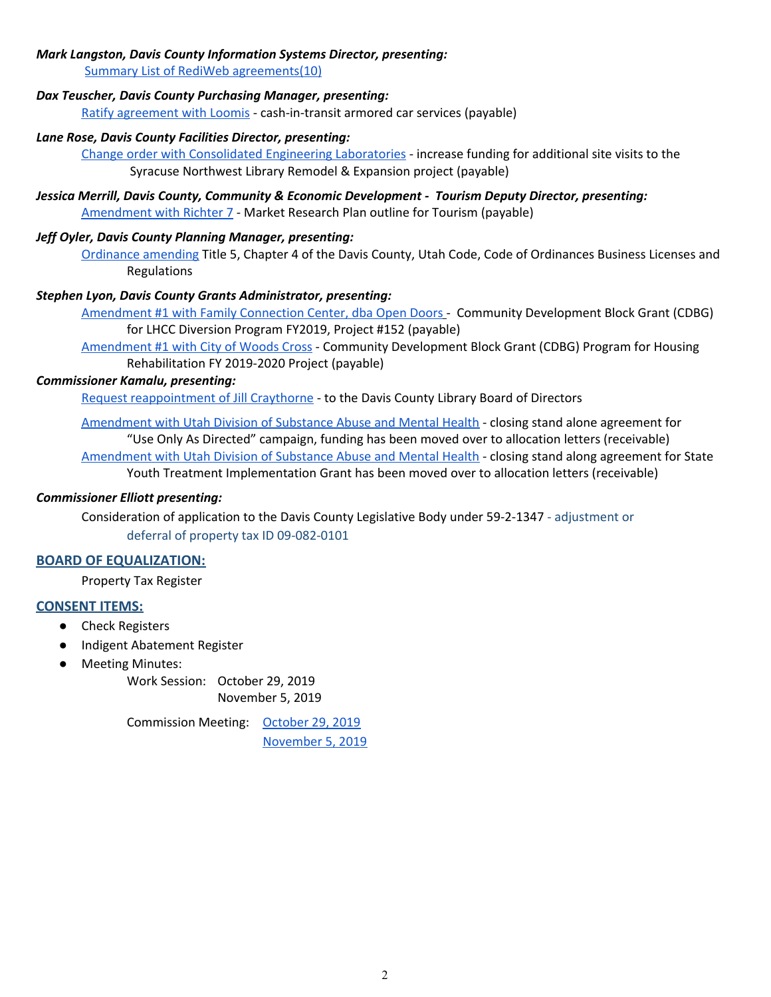## *Mark Langston, Davis County Information Systems Director, presenting:*

Summary List of RediWeb [agreements\(10\)](https://drive.google.com/a/co.davis.ut.us/file/d/1J1zHlJP60HEFKAhhztOk_L9XLkPmH3vX/view?usp=drivesdk)

#### *Dax Teuscher, Davis County Purchasing Manager, presenting:*

Ratify [agreement](https://drive.google.com/a/co.davis.ut.us/file/d/16503hA-_0GfFrV8e-Fuyl9_3G6anjHWh/view?usp=drivesdk) with Loomis - cash-in-transit armored car services (payable)

#### *Lane Rose, Davis County Facilities Director, presenting:*

Change order with [Consolidated](https://drive.google.com/a/co.davis.ut.us/file/d/1d8xUCkZZKPGc2gh931aX8oxrtnTvLrGx/view?usp=drivesdk) Engineering Laboratories - increase funding for additional site visits to the Syracuse Northwest Library Remodel & Expansion project (payable)

*Jessica Merrill, Davis County, Community & Economic Development - Tourism Deputy Director, presenting:* [Amendment](https://drive.google.com/a/co.davis.ut.us/file/d/1SKOUP5JGh4R4nagpj-aZJ804dycd1t5x/view?usp=drivesdk) with Richter 7 - Market Research Plan outline for Tourism (payable)

## *Jeff Oyler, Davis County Planning Manager, presenting:*

[Ordinance](https://drive.google.com/a/co.davis.ut.us/file/d/1nSFmWHvZzhZ_aBbtKWR0GmRo8JRT90w2/view?usp=drivesdk) amending Title 5, Chapter 4 of the Davis County, Utah Code, Code of Ordinances Business Licenses and Regulations

#### *Stephen Lyon, Davis County Grants Administrator, presenting:*

[Amendment](https://drive.google.com/a/co.davis.ut.us/file/d/1SDWHdmOLJkxiVU9QFSHlb9IpGX4yVEZt/view?usp=drivesdk) #1 with Family Connection Center, dba Open Doors [-](https://drive.google.com/a/co.davis.ut.us/file/d/1SDWHdmOLJkxiVU9QFSHlb9IpGX4yVEZt/view?usp=drivesdk) Community [Development](https://drive.google.com/a/co.davis.ut.us/file/d/1SDWHdmOLJkxiVU9QFSHlb9IpGX4yVEZt/view?usp=drivesdk) Block Grant (CDBG) for LHCC Diversion Program FY2019, Project #152 (payable)

[Amendment](https://drive.google.com/a/co.davis.ut.us/file/d/1gGnl1AmewVyTACtwRp2TempYktdSpDx-/view?usp=drivesdk) #1 with City of Woods Cross - Community [Development](https://drive.google.com/a/co.davis.ut.us/file/d/1gGnl1AmewVyTACtwRp2TempYktdSpDx-/view?usp=drivesdk) Block Grant (CDBG) Program for Housing Rehabilitation FY 2019-2020 Project (payable)

## *Commissioner Kamalu, presenting:*

Request [reappointment](https://drive.google.com/a/co.davis.ut.us/file/d/1hHBK6P0cxhsjuGrbGXwIf3MoEM7fbSiO/view?usp=drivesdk) of Jill Craythorne - to the Davis County Library Board of Directors

[Amendment](https://drive.google.com/a/co.davis.ut.us/file/d/138UgVP4DxdiNAY7kirUVYD8yEX7nogBl/view?usp=drivesdk) with Utah Division of Substance Abuse and Mental Health - closing stand alone agreement for "Use Only As Directed" campaign, funding has been moved over to allocation letters (receivable) [Amendment](https://drive.google.com/a/co.davis.ut.us/file/d/1S1AOZHcsdhb3nVLqBeCWOq-qfDKBlZNO/view?usp=drivesdk) with Utah Division of Substance Abuse and Mental Health - closing stand along agreement for State Youth Treatment Implementation Grant has been moved over to allocation letters (receivable)

## *Commissioner Elliott presenting:*

[Consideration](https://drive.google.com/a/co.davis.ut.us/file/d/1X6jD0CNZIRVegswkWgccmmULsHzrxost/view?usp=drivesdk) of application to the Davis County Legislative Body under 59-2-1347 [-](https://drive.google.com/a/co.davis.ut.us/file/d/1X6jD0CNZIRVegswkWgccmmULsHzrxost/view?usp=drivesdk) adjustment or deferral of property tax ID 09-082-0101

## **BOARD OF EQUALIZATION:**

[Property](https://drive.google.com/a/co.davis.ut.us/file/d/1nm1aI_ZN_lLpMXzt7iFsSgDJ3Mu1QO0W/view?usp=drivesdk) Tax Register

## **CONSENT ITEMS:**

- Check Registers
- Indigent [Abatement](https://drive.google.com/a/co.davis.ut.us/file/d/1ACcVHGZ6HFdckidzD6hKFu7GXvvqT5DH/view?usp=drivesdk) R[egister](https://drive.google.com/a/co.davis.ut.us/file/d/1sVPM3a9jPEeF_PJjJDG4F0aaqXBwd5SM/view?usp=drivesdk)
- Meeting Minutes:

Work Session: [October](https://drive.google.com/a/co.davis.ut.us/file/d/1h4t2IIDPKiczanilqXoDmbVu0rKPO5US/view?usp=drivesdk) 29, 2019 [November](https://drive.google.com/a/co.davis.ut.us/file/d/15-A2-c4Wep2NmO3U-BIMqPd-VMa3Z4M_/view?usp=drivesdk) 5, 2019

Commission Meeting: [October](https://drive.google.com/a/co.davis.ut.us/file/d/1uHXavzMofbHKSzG72dDguDIonVAQK1fz/view?usp=drivesdk) 29, 2019 [November](https://drive.google.com/a/co.davis.ut.us/file/d/1gHOCixz0k7pzbqqqZLZLLvnyaFpcp9Tt/view?usp=drivesdk) 5, 2019